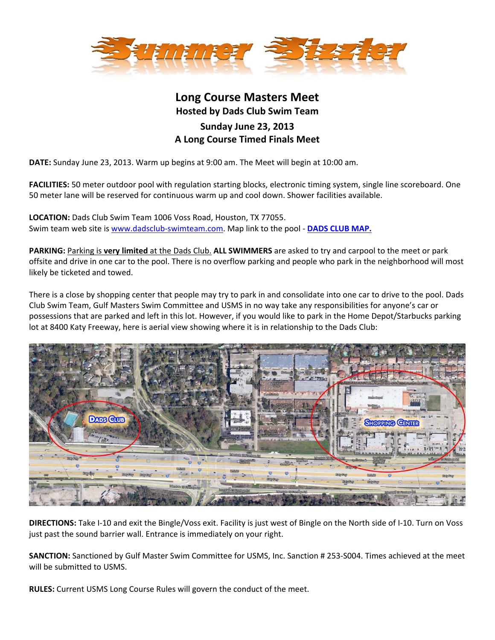

## **Long Course Masters Meet Hosted by Dads Club Swim Team Sunday June 23, 2013 A Long Course Timed Finals Meet**

**DATE:** Sunday June 23, 2013. Warm up begins at 9:00 am. The Meet will begin at 10:00 am.

**FACILITIES:** 50 meter outdoor pool with regulation starting blocks, electronic timing system, single line scoreboard. One 50 meter lane will be reserved for continuous warm up and cool down. Shower facilities available.

**LOCATION:** Dads Club Swim Team 1006 Voss Road, Houston, TX 77055. Swim team web site is www.dadsclub‐swimteam.com. Map link to the pool ‐ **[DADS](http://goo.gl/maps/FAM47) CLUB MAP.** 

**PARKING:** Parking is **very limited** at the Dads Club. **ALL SWIMMERS** are asked to try and carpool to the meet or park offsite and drive in one car to the pool. There is no overflow parking and people who park in the neighborhood will most likely be ticketed and towed.

There is a close by shopping center that people may try to park in and consolidate into one car to drive to the pool. Dads Club Swim Team, Gulf Masters Swim Committee and USMS in no way take any responsibilities for anyone's car or possessions that are parked and left in this lot. However, if you would like to park in the Home Depot/Starbucks parking lot at 8400 Katy Freeway, here is aerial view showing where it is in relationship to the Dads Club:



**DIRECTIONS:** Take I‐10 and exit the Bingle/Voss exit. Facility is just west of Bingle on the North side of I‐10. Turn on Voss just past the sound barrier wall. Entrance is immediately on your right.

**SANCTION:** Sanctioned by Gulf Master Swim Committee for USMS, Inc. Sanction # 253‐S004. Times achieved at the meet will be submitted to USMS.

**RULES:** Current USMS Long Course Rules will govern the conduct of the meet.